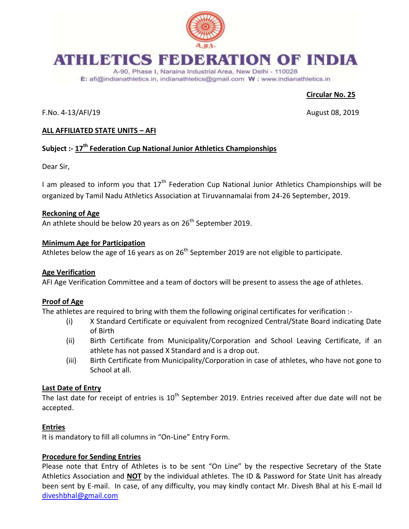

# **ATHLETICS FEDERATION OF INDIA**

A-90, Phase I, Naraina Industrial Area, New Delhi - 110028 E: afi@indianathletics.in, indianathletics@gmail.com W: www.indianathletics.in

# **Circular No. 25**

F.No. 4-13/AFI/19 August 08, 2019

# **ALL AFFILIATED STATE UNITS – AFI**

# **Subject :- 17th Federation Cup National Junior Athletics Championships**

Dear Sir,

I am pleased to inform you that  $17<sup>th</sup>$  Federation Cup National Junior Athletics Championships will be organized by Tamil Nadu Athletics Association at Tiruvannamalai from 24-26 September, 2019.

#### **Reckoning of Age**

An athlete should be below 20 years as on  $26<sup>th</sup>$  September 2019.

#### **Minimum Age for Participation**

Athletes below the age of 16 years as on  $26<sup>th</sup>$  September 2019 are not eligible to participate.

#### **Age Verification**

AFI Age Verification Committee and a team of doctors will be present to assess the age of athletes.

#### **Proof of Age**

The athletes are required to bring with them the following original certificates for verification :-

- (i) X Standard Certificate or equivalent from recognized Central/State Board indicating Date of Birth
- (ii) Birth Certificate from Municipality/Corporation and School Leaving Certificate, if an athlete has not passed X Standard and is a drop out.
- (iii) Birth Certificate from Municipality/Corporation in case of athletes, who have not gone to School at all.

#### **Last Date of Entry**

The last date for receipt of entries is  $10^{th}$  September 2019. Entries received after due date will not be accepted.

#### **Entries**

It is mandatory to fill all columns in "On-Line" Entry Form.

#### **Procedure for Sending Entries**

Please note that Entry of Athletes is to be sent "On Line" by the respective Secretary of the State Athletics Association and **NOT** by the individual athletes. The ID & Password for State Unit has already been sent by E-mail. In case, of any difficulty, you may kindly contact Mr. Divesh Bhal at his E-mail Id [diveshbhal@gmail.com](mailto:diveshbhal@gmail.com)